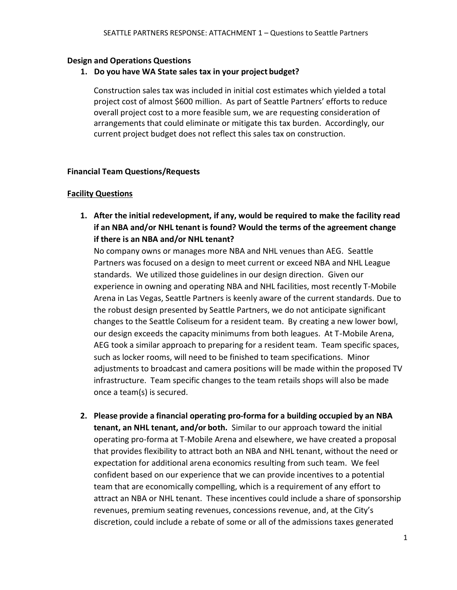### **Design and Operations Questions**

**1. Do you have WA State sales tax in your project budget?**

Construction sales tax was included in initial cost estimates which yielded a total project cost of almost \$600 million. As part of Seattle Partners' efforts to reduce overall project cost to a more feasible sum, we are requesting consideration of arrangements that could eliminate or mitigate this tax burden. Accordingly, our current project budget does not reflect this sales tax on construction.

### **Financial Team Questions/Requests**

### **Facility Questions**

**1. After the initial redevelopment, if any, would be required to make the facility read if an NBA and/or NHL tenant is found? Would the terms of the agreement change if there is an NBA and/or NHL tenant?**

No company owns or manages more NBA and NHL venues than AEG. Seattle Partners was focused on a design to meet current or exceed NBA and NHL League standards. We utilized those guidelines in our design direction. Given our experience in owning and operating NBA and NHL facilities, most recently T-Mobile Arena in Las Vegas, Seattle Partners is keenly aware of the current standards. Due to the robust design presented by Seattle Partners, we do not anticipate significant changes to the Seattle Coliseum for a resident team. By creating a new lower bowl, our design exceeds the capacity minimums from both leagues. At T-Mobile Arena, AEG took a similar approach to preparing for a resident team. Team specific spaces, such as locker rooms, will need to be finished to team specifications. Minor adjustments to broadcast and camera positions will be made within the proposed TV infrastructure. Team specific changes to the team retails shops will also be made once a team(s) is secured.

**2. Please provide a financial operating pro-forma for a building occupied by an NBA tenant, an NHL tenant, and/or both.** Similar to our approach toward the initial operating pro-forma at T-Mobile Arena and elsewhere, we have created a proposal that provides flexibility to attract both an NBA and NHL tenant, without the need or expectation for additional arena economics resulting from such team. We feel confident based on our experience that we can provide incentives to a potential team that are economically compelling, which is a requirement of any effort to attract an NBA or NHL tenant. These incentives could include a share of sponsorship revenues, premium seating revenues, concessions revenue, and, at the City's discretion, could include a rebate of some or all of the admissions taxes generated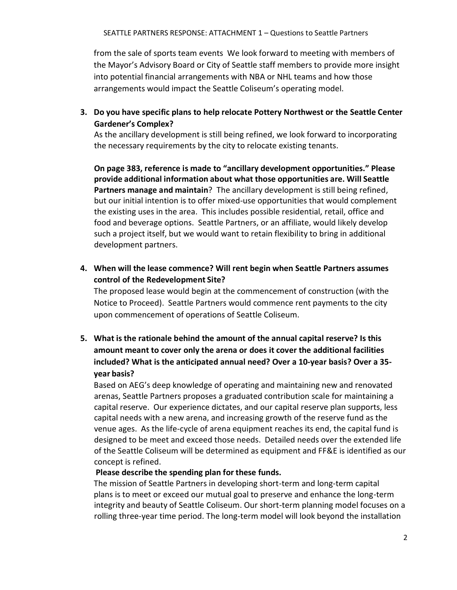from the sale of sports team events We look forward to meeting with members of the Mayor's Advisory Board or City of Seattle staff members to provide more insight into potential financial arrangements with NBA or NHL teams and how those arrangements would impact the Seattle Coliseum's operating model.

**3. Do you have specific plans to help relocate Pottery Northwest or the Seattle Center Gardener's Complex?**

As the ancillary development is still being refined, we look forward to incorporating the necessary requirements by the city to relocate existing tenants.

**On page 383, reference is made to "ancillary development opportunities." Please provide additional information about what those opportunities are. Will Seattle Partners manage and maintain**? The ancillary development is still being refined, but our initial intention is to offer mixed-use opportunities that would complement the existing uses in the area. This includes possible residential, retail, office and food and beverage options. Seattle Partners, or an affiliate, would likely develop such a project itself, but we would want to retain flexibility to bring in additional development partners.

**4. When will the lease commence? Will rent begin when Seattle Partners assumes control of the Redevelopment Site?**

The proposed lease would begin at the commencement of construction (with the Notice to Proceed). Seattle Partners would commence rent payments to the city upon commencement of operations of Seattle Coliseum.

**5. What is the rationale behind the amount of the annual capital reserve? Is this amount meant to cover only the arena or does it cover the additional facilities included? What is the anticipated annual need? Over a 10-year basis? Over a 35 year basis?**

Based on AEG's deep knowledge of operating and maintaining new and renovated arenas, Seattle Partners proposes a graduated contribution scale for maintaining a capital reserve. Our experience dictates, and our capital reserve plan supports, less capital needs with a new arena, and increasing growth of the reserve fund as the venue ages. As the life-cycle of arena equipment reaches its end, the capital fund is designed to be meet and exceed those needs. Detailed needs over the extended life of the Seattle Coliseum will be determined as equipment and FF&E is identified as our concept is refined.

### **Please describe the spending plan for these funds.**

The mission of Seattle Partners in developing short-term and long-term capital plans is to meet or exceed our mutual goal to preserve and enhance the long-term integrity and beauty of Seattle Coliseum. Our short-term planning model focuses on a rolling three-year time period. The long-term model will look beyond the installation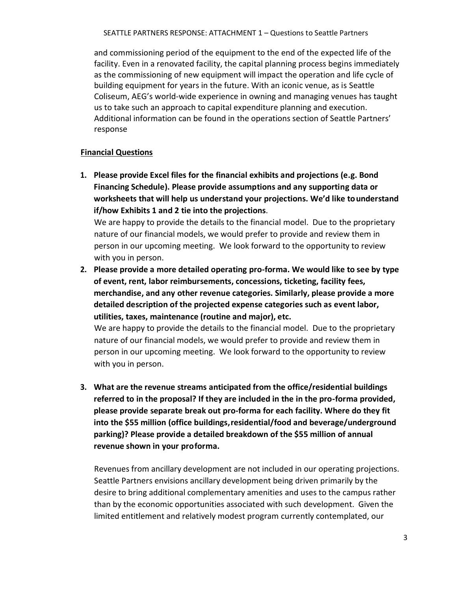SEATTLE PARTNERS RESPONSE: ATTACHMENT 1 – Questions to Seattle Partners

and commissioning period of the equipment to the end of the expected life of the facility. Even in a renovated facility, the capital planning process begins immediately as the commissioning of new equipment will impact the operation and life cycle of building equipment for years in the future. With an iconic venue, as is Seattle Coliseum, AEG's world-wide experience in owning and managing venues has taught us to take such an approach to capital expenditure planning and execution. Additional information can be found in the operations section of Seattle Partners' response

### **Financial Questions**

**1. Please provide Excel files for the financial exhibits and projections (e.g. Bond Financing Schedule). Please provide assumptions and any supporting data or worksheets that will help us understand your projections. We'd like tounderstand if/how Exhibits 1 and 2 tie into the projections**.

We are happy to provide the details to the financial model. Due to the proprietary nature of our financial models, we would prefer to provide and review them in person in our upcoming meeting. We look forward to the opportunity to review with you in person.

**2. Please provide a more detailed operating pro-forma. We would like to see by type of event, rent, labor reimbursements, concessions, ticketing, facility fees, merchandise, and any other revenue categories. Similarly, please provide a more detailed description of the projected expense categories such as event labor, utilities, taxes, maintenance (routine and major), etc.**

We are happy to provide the details to the financial model. Due to the proprietary nature of our financial models, we would prefer to provide and review them in person in our upcoming meeting. We look forward to the opportunity to review with you in person.

**3. What are the revenue streams anticipated from the office/residential buildings referred to in the proposal? If they are included in the in the pro-forma provided, please provide separate break out pro-forma for each facility. Where do they fit into the \$55 million (office buildings,residential/food and beverage/underground parking)? Please provide a detailed breakdown of the \$55 million of annual revenue shown in your proforma.**

Revenues from ancillary development are not included in our operating projections. Seattle Partners envisions ancillary development being driven primarily by the desire to bring additional complementary amenities and uses to the campus rather than by the economic opportunities associated with such development. Given the limited entitlement and relatively modest program currently contemplated, our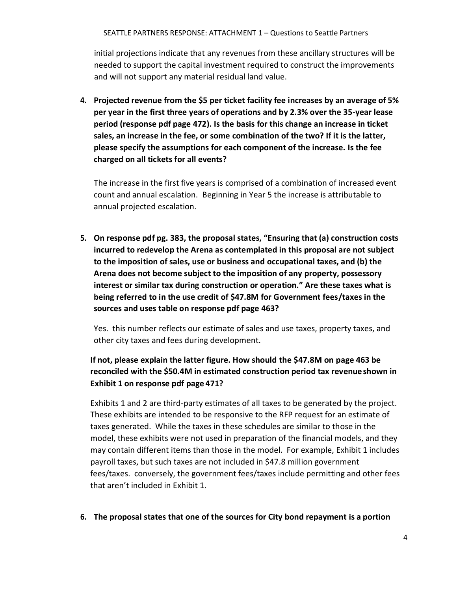SEATTLE PARTNERS RESPONSE: ATTACHMENT 1 – Questions to Seattle Partners

initial projections indicate that any revenues from these ancillary structures will be needed to support the capital investment required to construct the improvements and will not support any material residual land value.

**4. Projected revenue from the \$5 per ticket facility fee increases by an average of 5% per year in the first three years of operations and by 2.3% over the 35-year lease period (response pdf page 472). Is the basis for this change an increase in ticket sales, an increase in the fee, or some combination of the two? If it is the latter, please specify the assumptions for each component of the increase. Is the fee charged on all tickets for all events?**

The increase in the first five years is comprised of a combination of increased event count and annual escalation. Beginning in Year 5 the increase is attributable to annual projected escalation.

**5. On response pdf pg. 383, the proposal states, "Ensuring that (a) construction costs incurred to redevelop the Arena as contemplated in this proposal are not subject to the imposition of sales, use or business and occupational taxes, and (b) the Arena does not become subject to the imposition of any property, possessory interest or similar tax during construction or operation." Are these taxes what is being referred to in the use credit of \$47.8M for Government fees/taxes in the sources and uses table on response pdf page 463?**

Yes. this number reflects our estimate of sales and use taxes, property taxes, and other city taxes and fees during development.

# **If not, please explain the latter figure. How should the \$47.8M on page 463 be reconciled with the \$50.4M in estimated construction period tax revenueshown in Exhibit 1 on response pdf page 471?**

Exhibits 1 and 2 are third-party estimates of all taxes to be generated by the project. These exhibits are intended to be responsive to the RFP request for an estimate of taxes generated. While the taxes in these schedules are similar to those in the model, these exhibits were not used in preparation of the financial models, and they may contain different items than those in the model. For example, Exhibit 1 includes payroll taxes, but such taxes are not included in \$47.8 million government fees/taxes. conversely, the government fees/taxes include permitting and other fees that aren't included in Exhibit 1.

**6. The proposal states that one of the sources for City bond repayment is a portion**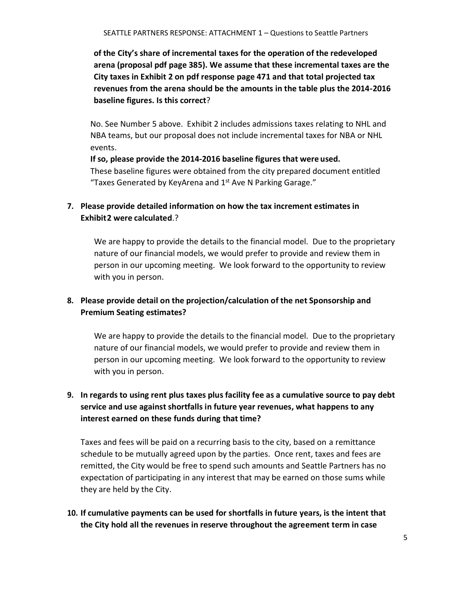**of the City's share of incremental taxes for the operation of the redeveloped arena (proposal pdf page 385). We assume that these incremental taxes are the City taxes in Exhibit 2 on pdf response page 471 and that total projected tax revenues from the arena should be the amounts in the table plus the 2014-2016 baseline figures. Is this correct**?

No. See Number 5 above. Exhibit 2 includes admissions taxes relating to NHL and NBA teams, but our proposal does not include incremental taxes for NBA or NHL events.

**If so, please provide the 2014-2016 baseline figures that were used.** These baseline figures were obtained from the city prepared document entitled "Taxes Generated by KeyArena and  $1<sup>st</sup>$  Ave N Parking Garage."

# **7. Please provide detailed information on how the tax increment estimates in Exhibit2 were calculated**.?

We are happy to provide the details to the financial model. Due to the proprietary nature of our financial models, we would prefer to provide and review them in person in our upcoming meeting. We look forward to the opportunity to review with you in person.

# **8. Please provide detail on the projection/calculation of the net Sponsorship and Premium Seating estimates?**

We are happy to provide the details to the financial model. Due to the proprietary nature of our financial models, we would prefer to provide and review them in person in our upcoming meeting. We look forward to the opportunity to review with you in person.

# **9. In regards to using rent plus taxes plus facility fee as a cumulative source to pay debt service and use against shortfalls in future year revenues, what happens to any interest earned on these funds during that time?**

Taxes and fees will be paid on a recurring basis to the city, based on a remittance schedule to be mutually agreed upon by the parties. Once rent, taxes and fees are remitted, the City would be free to spend such amounts and Seattle Partners has no expectation of participating in any interest that may be earned on those sums while they are held by the City.

**10. If cumulative payments can be used for shortfalls in future years, is the intent that the City hold all the revenues in reserve throughout the agreement term in case**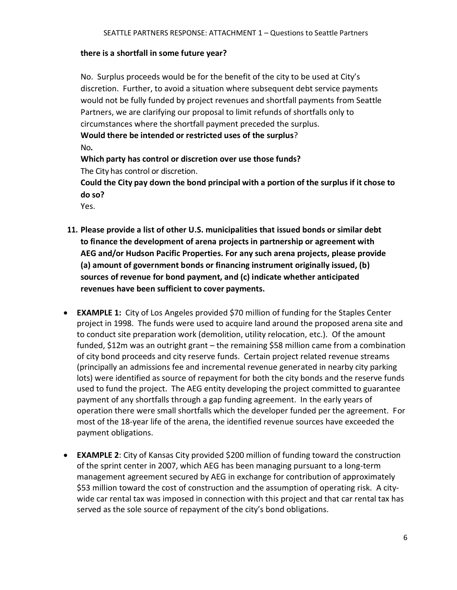#### **there is a shortfall in some future year?**

No. Surplus proceeds would be for the benefit of the city to be used at City's discretion. Further, to avoid a situation where subsequent debt service payments would not be fully funded by project revenues and shortfall payments from Seattle Partners, we are clarifying our proposal to limit refunds of shortfalls only to circumstances where the shortfall payment preceded the surplus. **Would there be intended or restricted uses of the surplus**? No**.** 

**Which party has control or discretion over use those funds?**  The City has control or discretion.

**Could the City pay down the bond principal with a portion of the surplus if it chose to do so?**

Yes.

- **11. Please provide a list of other U.S. municipalities that issued bonds or similar debt to finance the development of arena projects in partnership or agreement with AEG and/or Hudson Pacific Properties. For any such arena projects, please provide (a) amount of government bonds or financing instrument originally issued, (b) sources of revenue for bond payment, and (c) indicate whether anticipated revenues have been sufficient to cover payments.**
- **EXAMPLE 1:** City of Los Angeles provided \$70 million of funding for the Staples Center project in 1998. The funds were used to acquire land around the proposed arena site and to conduct site preparation work (demolition, utility relocation, etc.). Of the amount funded, \$12m was an outright grant – the remaining \$58 million came from a combination of city bond proceeds and city reserve funds. Certain project related revenue streams (principally an admissions fee and incremental revenue generated in nearby city parking lots) were identified as source of repayment for both the city bonds and the reserve funds used to fund the project. The AEG entity developing the project committed to guarantee payment of any shortfalls through a gap funding agreement. In the early years of operation there were small shortfalls which the developer funded per the agreement. For most of the 18-year life of the arena, the identified revenue sources have exceeded the payment obligations.
- **EXAMPLE 2**: City of Kansas City provided \$200 million of funding toward the construction of the sprint center in 2007, which AEG has been managing pursuant to a long-term management agreement secured by AEG in exchange for contribution of approximately \$53 million toward the cost of construction and the assumption of operating risk. A citywide car rental tax was imposed in connection with this project and that car rental tax has served as the sole source of repayment of the city's bond obligations.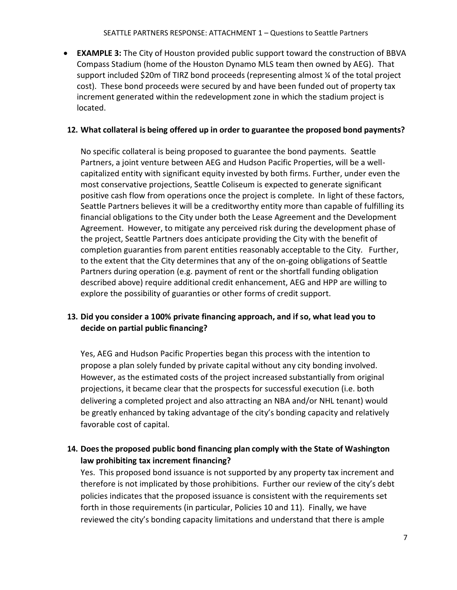• **EXAMPLE 3:** The City of Houston provided public support toward the construction of BBVA Compass Stadium (home of the Houston Dynamo MLS team then owned by AEG). That support included \$20m of TIRZ bond proceeds (representing almost ¼ of the total project cost). These bond proceeds were secured by and have been funded out of property tax increment generated within the redevelopment zone in which the stadium project is located.

### **12. What collateral is being offered up in order to guarantee the proposed bond payments?**

No specific collateral is being proposed to guarantee the bond payments. Seattle Partners, a joint venture between AEG and Hudson Pacific Properties, will be a wellcapitalized entity with significant equity invested by both firms. Further, under even the most conservative projections, Seattle Coliseum is expected to generate significant positive cash flow from operations once the project is complete. In light of these factors, Seattle Partners believes it will be a creditworthy entity more than capable of fulfilling its financial obligations to the City under both the Lease Agreement and the Development Agreement. However, to mitigate any perceived risk during the development phase of the project, Seattle Partners does anticipate providing the City with the benefit of completion guaranties from parent entities reasonably acceptable to the City. Further, to the extent that the City determines that any of the on-going obligations of Seattle Partners during operation (e.g. payment of rent or the shortfall funding obligation described above) require additional credit enhancement, AEG and HPP are willing to explore the possibility of guaranties or other forms of credit support.

## **13. Did you consider a 100% private financing approach, and if so, what lead you to decide on partial public financing?**

Yes, AEG and Hudson Pacific Properties began this process with the intention to propose a plan solely funded by private capital without any city bonding involved. However, as the estimated costs of the project increased substantially from original projections, it became clear that the prospects for successful execution (i.e. both delivering a completed project and also attracting an NBA and/or NHL tenant) would be greatly enhanced by taking advantage of the city's bonding capacity and relatively favorable cost of capital.

# **14. Doesthe proposed public bond financing plan comply with the State of Washington law prohibiting tax increment financing?**

Yes. This proposed bond issuance is not supported by any property tax increment and therefore is not implicated by those prohibitions. Further our review of the city's debt policies indicates that the proposed issuance is consistent with the requirements set forth in those requirements (in particular, Policies 10 and 11). Finally, we have reviewed the city's bonding capacity limitations and understand that there is ample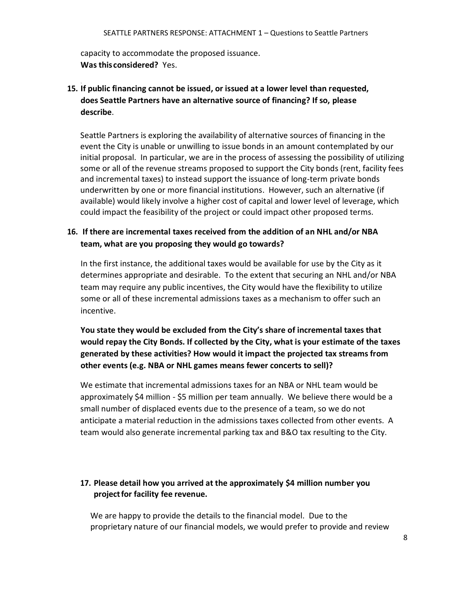capacity to accommodate the proposed issuance. **Was this considered?** Yes.

**15. If public financing cannot be issued, or issued at a lower level than requested, does Seattle Partners have an alternative source of financing? If so, please describe**.

Seattle Partners is exploring the availability of alternative sources of financing in the event the City is unable or unwilling to issue bonds in an amount contemplated by our initial proposal. In particular, we are in the process of assessing the possibility of utilizing some or all of the revenue streams proposed to support the City bonds (rent, facility fees and incremental taxes) to instead support the issuance of long-term private bonds underwritten by one or more financial institutions. However, such an alternative (if available) would likely involve a higher cost of capital and lower level of leverage, which could impact the feasibility of the project or could impact other proposed terms.

# **16. If there are incremental taxes received from the addition of an NHL and/or NBA team, what are you proposing they would go towards?**

In the first instance, the additional taxes would be available for use by the City as it determines appropriate and desirable. To the extent that securing an NHL and/or NBA team may require any public incentives, the City would have the flexibility to utilize some or all of these incremental admissions taxes as a mechanism to offer such an incentive.

**You state they would be excluded from the City's share of incremental taxes that would repay the City Bonds. If collected by the City, what is your estimate of the taxes generated by these activities? How would it impact the projected tax streams from other events (e.g. NBA or NHL games means fewer concerts to sell)?**

We estimate that incremental admissions taxes for an NBA or NHL team would be approximately \$4 million - \$5 million per team annually. We believe there would be a small number of displaced events due to the presence of a team, so we do not anticipate a material reduction in the admissions taxes collected from other events. A team would also generate incremental parking tax and B&O tax resulting to the City.

## **17. Please detail how you arrived at the approximately \$4 million number you projectfor facility fee revenue.**

We are happy to provide the details to the financial model. Due to the proprietary nature of our financial models, we would prefer to provide and review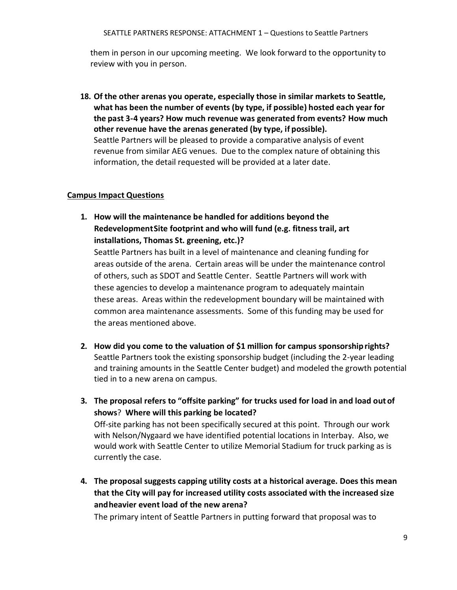them in person in our upcoming meeting. We look forward to the opportunity to review with you in person.

**18. Of the other arenas you operate, especially those in similar markets to Seattle, what has been the number of events (by type, if possible) hosted each year for the past 3-4 years? How much revenue was generated from events? How much other revenue have the arenas generated (by type, if possible).**  Seattle Partners will be pleased to provide a comparative analysis of event revenue from similar AEG venues. Due to the complex nature of obtaining this information, the detail requested will be provided at a later date.

### **Campus Impact Questions**

**1. How will the maintenance be handled for additions beyond the RedevelopmentSite footprint and who will fund (e.g. fitness trail, art installations, Thomas St. greening, etc.)?**

Seattle Partners has built in a level of maintenance and cleaning funding for areas outside of the arena. Certain areas will be under the maintenance control of others, such as SDOT and Seattle Center. Seattle Partners will work with these agencies to develop a maintenance program to adequately maintain these areas. Areas within the redevelopment boundary will be maintained with common area maintenance assessments. Some of this funding may be used for the areas mentioned above.

- **2. How did you come to the valuation of \$1 million for campus sponsorshiprights?**  Seattle Partners took the existing sponsorship budget (including the 2-year leading and training amounts in the Seattle Center budget) and modeled the growth potential tied in to a new arena on campus.
- **3. The proposal refers to "offsite parking" for trucks used for load in and load out of shows**? **Where will this parking be located?** Off-site parking has not been specifically secured at this point. Through our work

with Nelson/Nygaard we have identified potential locations in Interbay. Also, we would work with Seattle Center to utilize Memorial Stadium for truck parking as is currently the case.

**4. The proposal suggests capping utility costs at a historical average. Does this mean that the City will pay for increased utility costs associated with the increased size andheavier event load of the new arena?** 

The primary intent of Seattle Partners in putting forward that proposal was to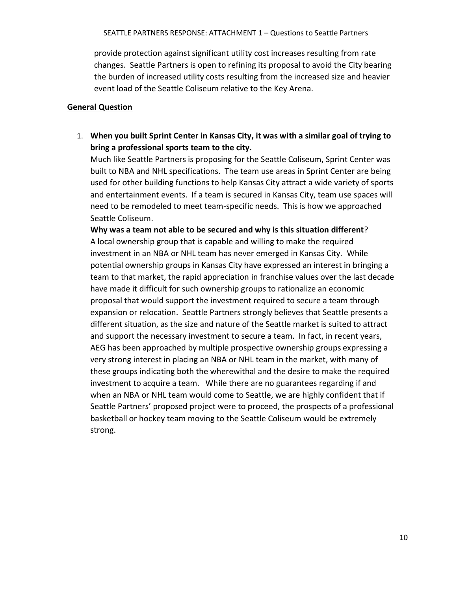provide protection against significant utility cost increases resulting from rate changes. Seattle Partners is open to refining its proposal to avoid the City bearing the burden of increased utility costs resulting from the increased size and heavier event load of the Seattle Coliseum relative to the Key Arena.

### **General Question**

1. **When you built Sprint Center in Kansas City, it was with a similar goal of trying to bring a professional sports team to the city.** 

Much like Seattle Partners is proposing for the Seattle Coliseum, Sprint Center was built to NBA and NHL specifications. The team use areas in Sprint Center are being used for other building functions to help Kansas City attract a wide variety of sports and entertainment events. If a team is secured in Kansas City, team use spaces will need to be remodeled to meet team-specific needs. This is how we approached Seattle Coliseum.

**Why was a team not able to be secured and why is this situation different**? A local ownership group that is capable and willing to make the required investment in an NBA or NHL team has never emerged in Kansas City. While potential ownership groups in Kansas City have expressed an interest in bringing a team to that market, the rapid appreciation in franchise values over the last decade have made it difficult for such ownership groups to rationalize an economic proposal that would support the investment required to secure a team through expansion or relocation. Seattle Partners strongly believes that Seattle presents a different situation, as the size and nature of the Seattle market is suited to attract and support the necessary investment to secure a team. In fact, in recent years, AEG has been approached by multiple prospective ownership groups expressing a very strong interest in placing an NBA or NHL team in the market, with many of these groups indicating both the wherewithal and the desire to make the required investment to acquire a team. While there are no guarantees regarding if and when an NBA or NHL team would come to Seattle, we are highly confident that if Seattle Partners' proposed project were to proceed, the prospects of a professional basketball or hockey team moving to the Seattle Coliseum would be extremely strong.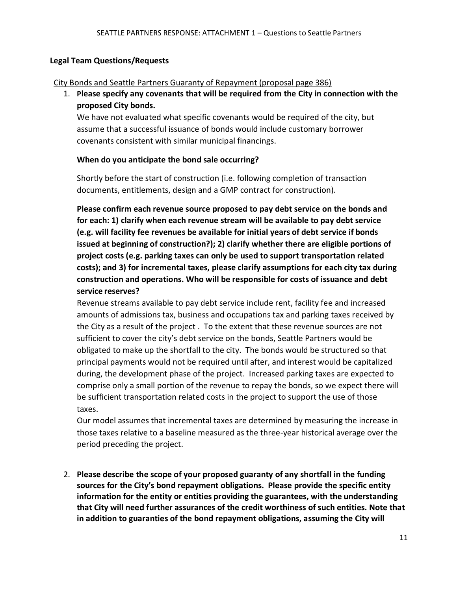#### **Legal Team Questions/Requests**

#### City Bonds and Seattle Partners Guaranty of Repayment (proposal page 386)

1. **Please specify any covenants that will be required from the City in connection with the proposed City bonds.**

We have not evaluated what specific covenants would be required of the city, but assume that a successful issuance of bonds would include customary borrower covenants consistent with similar municipal financings.

#### **When do you anticipate the bond sale occurring?**

Shortly before the start of construction (i.e. following completion of transaction documents, entitlements, design and a GMP contract for construction).

**Please confirm each revenue source proposed to pay debt service on the bonds and for each: 1) clarify when each revenue stream will be available to pay debt service (e.g. will facility fee revenues be available for initial years of debt service if bonds issued at beginning of construction?); 2) clarify whether there are eligible portions of project costs (e.g. parking taxes can only be used to support transportation related costs); and 3) for incremental taxes, please clarify assumptions for each city tax during construction and operations. Who will be responsible for costs of issuance and debt service reserves?**

Revenue streams available to pay debt service include rent, facility fee and increased amounts of admissions tax, business and occupations tax and parking taxes received by the City as a result of the project . To the extent that these revenue sources are not sufficient to cover the city's debt service on the bonds, Seattle Partners would be obligated to make up the shortfall to the city. The bonds would be structured so that principal payments would not be required until after, and interest would be capitalized during, the development phase of the project. Increased parking taxes are expected to comprise only a small portion of the revenue to repay the bonds, so we expect there will be sufficient transportation related costs in the project to support the use of those taxes.

Our model assumes that incremental taxes are determined by measuring the increase in those taxes relative to a baseline measured as the three-year historical average over the period preceding the project.

2. **Please describe the scope of your proposed guaranty of any shortfall in the funding sources for the City's bond repayment obligations. Please provide the specific entity information for the entity or entities providing the guarantees, with the understanding that City will need further assurances of the credit worthiness of such entities. Note that in addition to guaranties of the bond repayment obligations, assuming the City will**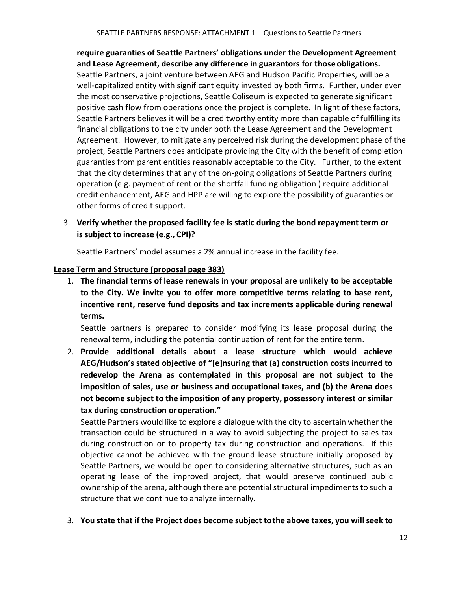**require guaranties of Seattle Partners' obligations under the Development Agreement and Lease Agreement, describe any difference in guarantors for those obligations.** Seattle Partners, a joint venture between AEG and Hudson Pacific Properties, will be a well-capitalized entity with significant equity invested by both firms. Further, under even the most conservative projections, Seattle Coliseum is expected to generate significant positive cash flow from operations once the project is complete. In light of these factors, Seattle Partners believes it will be a creditworthy entity more than capable of fulfilling its financial obligations to the city under both the Lease Agreement and the Development Agreement. However, to mitigate any perceived risk during the development phase of the project, Seattle Partners does anticipate providing the City with the benefit of completion guaranties from parent entities reasonably acceptable to the City. Further, to the extent that the city determines that any of the on-going obligations of Seattle Partners during operation (e.g. payment of rent or the shortfall funding obligation ) require additional credit enhancement, AEG and HPP are willing to explore the possibility of guaranties or other forms of credit support.

3. **Verify whether the proposed facility fee is static during the bond repayment term or is subject to increase (e.g., CPI)?**

Seattle Partners' model assumes a 2% annual increase in the facility fee.

### **Lease Term and Structure (proposal page 383)**

1. **The financial terms of lease renewals in your proposal are unlikely to be acceptable to the City. We invite you to offer more competitive terms relating to base rent, incentive rent, reserve fund deposits and tax increments applicable during renewal terms.**

Seattle partners is prepared to consider modifying its lease proposal during the renewal term, including the potential continuation of rent for the entire term.

2. **Provide additional details about a lease structure which would achieve AEG/Hudson's stated objective of "[e]nsuring that (a) construction costs incurred to redevelop the Arena as contemplated in this proposal are not subject to the imposition of sales, use or business and occupational taxes, and (b) the Arena does not become subject to the imposition of any property, possessory interest or similar tax during construction oroperation."** 

Seattle Partners would like to explore a dialogue with the city to ascertain whether the transaction could be structured in a way to avoid subjecting the project to sales tax during construction or to property tax during construction and operations. If this objective cannot be achieved with the ground lease structure initially proposed by Seattle Partners, we would be open to considering alternative structures, such as an operating lease of the improved project, that would preserve continued public ownership of the arena, although there are potential structural impediments to such a structure that we continue to analyze internally.

3. **You state that if the Project does become subject tothe above taxes, you will seek to**